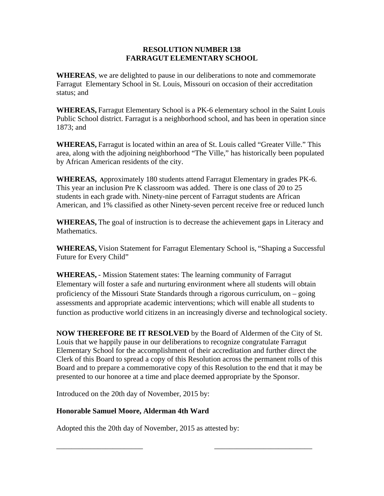## **RESOLUTION NUMBER 138 FARRAGUT ELEMENTARY SCHOOL**

**WHEREAS**, we are delighted to pause in our deliberations to note and commemorate Farragut Elementary School in St. Louis, Missouri on occasion of their accreditation status; and

**WHEREAS,** Farragut Elementary School is a PK-6 elementary school in the Saint Louis Public School district. Farragut is a neighborhood school, and has been in operation since 1873; and

**WHEREAS,** Farragut is located within an area of St. Louis called "Greater Ville." This area, along with the adjoining neighborhood "The Ville," has historically been populated by African American residents of the city.

**WHEREAS, A**pproximately 180 students attend Farragut Elementary in grades PK-6. This year an inclusion Pre K classroom was added. There is one class of 20 to 25 students in each grade with. Ninety-nine percent of Farragut students are African American, and 1% classified as other Ninety-seven percent receive free or reduced lunch

**WHEREAS,** The goal of instruction is to decrease the achievement gaps in Literacy and Mathematics.

**WHEREAS,** Vision Statement for Farragut Elementary School is, "Shaping a Successful Future for Every Child"

**WHEREAS,** - Mission Statement states: The learning community of Farragut Elementary will foster a safe and nurturing environment where all students will obtain proficiency of the Missouri State Standards through a rigorous curriculum, on – going assessments and appropriate academic interventions; which will enable all students to function as productive world citizens in an increasingly diverse and technological society.

**NOW THEREFORE BE IT RESOLVED** by the Board of Aldermen of the City of St. Louis that we happily pause in our deliberations to recognize congratulate Farragut Elementary School for the accomplishment of their accreditation and further direct the Clerk of this Board to spread a copy of this Resolution across the permanent rolls of this Board and to prepare a commemorative copy of this Resolution to the end that it may be presented to our honoree at a time and place deemed appropriate by the Sponsor.

Introduced on the 20th day of November, 2015 by:

## **Honorable Samuel Moore, Alderman 4th Ward**

Adopted this the 20th day of November, 2015 as attested by:

\_\_\_\_\_\_\_\_\_\_\_\_\_\_\_\_\_\_\_\_\_\_\_ \_\_\_\_\_\_\_\_\_\_\_\_\_\_\_\_\_\_\_\_\_\_\_\_\_\_